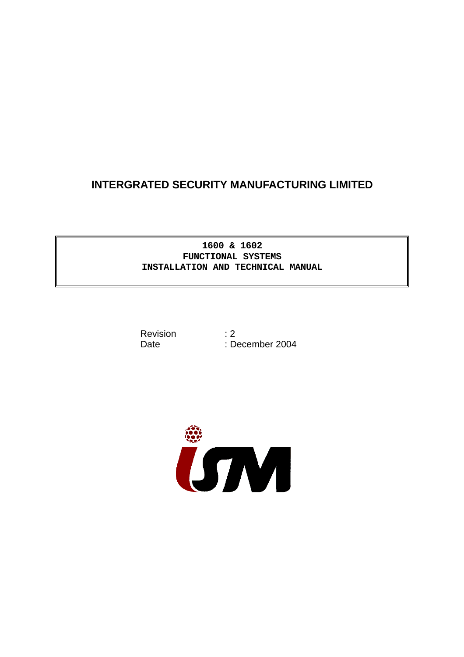# **INTERGRATED SECURITY MANUFACTURING LIMITED**

# **1600 & 1602 FUNCTIONAL SYSTEMS INSTALLATION AND TECHNICAL MANUAL**

Revision that is a series of the series of the series of the series of the series of the series of the series o

Date the contract of the December 2004

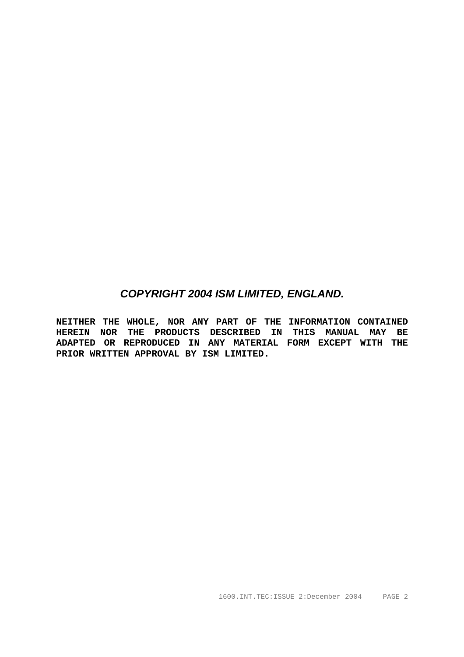# *COPYRIGHT 2004 ISM LIMITED, ENGLAND.*

**NEITHER THE WHOLE, NOR ANY PART OF THE INFORMATION CONTAINED HEREIN NOR THE PRODUCTS DESCRIBED IN THIS MANUAL MAY BE ADAPTED OR REPRODUCED IN ANY MATERIAL FORM EXCEPT WITH THE PRIOR WRITTEN APPROVAL BY ISM LIMITED.**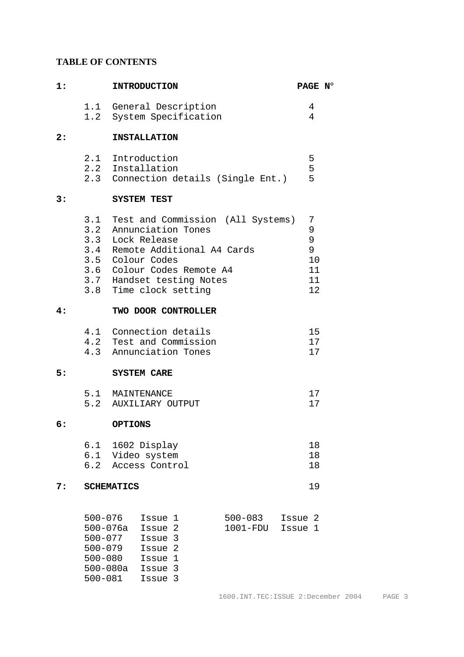# **TABLE OF CONTENTS**

| 1: |                                                                                                         | <b>INTRODUCTION</b>                                                                                                                                                                                                            | PAGE N°                                            |  |  |  |  |
|----|---------------------------------------------------------------------------------------------------------|--------------------------------------------------------------------------------------------------------------------------------------------------------------------------------------------------------------------------------|----------------------------------------------------|--|--|--|--|
|    |                                                                                                         | 1.1 General Description<br>1.2 System Specification                                                                                                                                                                            | 4<br>4                                             |  |  |  |  |
| 2: |                                                                                                         | <b>INSTALLATION</b>                                                                                                                                                                                                            |                                                    |  |  |  |  |
|    |                                                                                                         | 2.1 Introduction<br>2.2 Installation<br>2.3 Connection details (Single Ent.)                                                                                                                                                   | 5<br>5<br>5                                        |  |  |  |  |
| 3: |                                                                                                         | <b>SYSTEM TEST</b>                                                                                                                                                                                                             |                                                    |  |  |  |  |
|    |                                                                                                         | 3.1 Test and Commission (All Systems)<br>3.2 Annunciation Tones<br>3.3 Lock Release<br>3.4 Remote Additional A4 Cards<br>3.5 Colour Codes<br>3.6 Colour Codes Remote A4<br>3.7 Handset testing Notes<br>3.8 Time clock setting | 7<br>9<br>$\mathsf 9$<br>9<br>10<br>11<br>11<br>12 |  |  |  |  |
| 4: |                                                                                                         | TWO DOOR CONTROLLER                                                                                                                                                                                                            |                                                    |  |  |  |  |
|    |                                                                                                         | 4.1 Connection details<br>15<br>4.2 Test and Commission<br>17<br>17<br>4.3 Annunciation Tones                                                                                                                                  |                                                    |  |  |  |  |
| 5: |                                                                                                         | <b>SYSTEM CARE</b>                                                                                                                                                                                                             |                                                    |  |  |  |  |
|    |                                                                                                         | 5.1 MAINTENANCE<br>17<br>5.2 AUXILIARY OUTPUT<br>17                                                                                                                                                                            |                                                    |  |  |  |  |
| 6: |                                                                                                         | <b>OPTIONS</b>                                                                                                                                                                                                                 |                                                    |  |  |  |  |
|    | 6.2                                                                                                     | 6.1 1602 Display<br>18<br>18<br>6.1 Video system<br>Access Control<br>18                                                                                                                                                       |                                                    |  |  |  |  |
| 7: |                                                                                                         | <b>SCHEMATICS</b>                                                                                                                                                                                                              | 19                                                 |  |  |  |  |
|    | $500 - 076$<br>$500 - 076a$<br>$500 - 077$<br>$500 - 079$<br>$500 - 080$<br>$500 - 080a$<br>$500 - 081$ | $500 - 083$<br>Issue 1<br>1001-FDU<br>Issue 2<br>Issue 3<br>Issue 2<br>Issue 1<br>Issue 3<br>Issue 3                                                                                                                           | Issue 2<br>Issue 1                                 |  |  |  |  |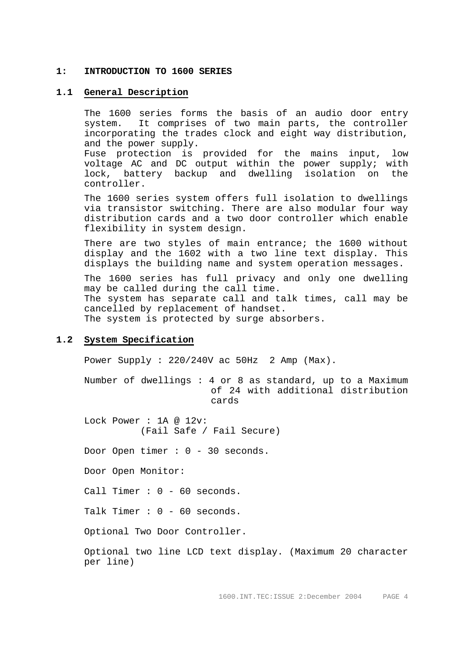#### **1: INTRODUCTION TO 1600 SERIES**

#### **1.1 General Description**

The 1600 series forms the basis of an audio door entry system. It comprises of two main parts, the controller incorporating the trades clock and eight way distribution, and the power supply.

Fuse protection is provided for the mains input, low voltage AC and DC output within the power supply; with lock, battery backup and dwelling isolation on the controller.

 The 1600 series system offers full isolation to dwellings via transistor switching. There are also modular four way distribution cards and a two door controller which enable flexibility in system design.

There are two styles of main entrance; the 1600 without display and the 1602 with a two line text display. This displays the building name and system operation messages.

 The 1600 series has full privacy and only one dwelling may be called during the call time. The system has separate call and talk times, call may be cancelled by replacement of handset. The system is protected by surge absorbers.

# **1.2 System Specification**

Power Supply : 220/240V ac 50Hz 2 Amp (Max).

Number of dwellings : 4 or 8 as standard, up to a Maximum of 24 with additional distribution cards

 Lock Power : 1A @ 12v: (Fail Safe / Fail Secure) Door Open timer : 0 - 30 seconds. Door Open Monitor: Call Timer : 0 - 60 seconds. Talk Timer : 0 - 60 seconds. Optional Two Door Controller.

Optional two line LCD text display. (Maximum 20 character per line)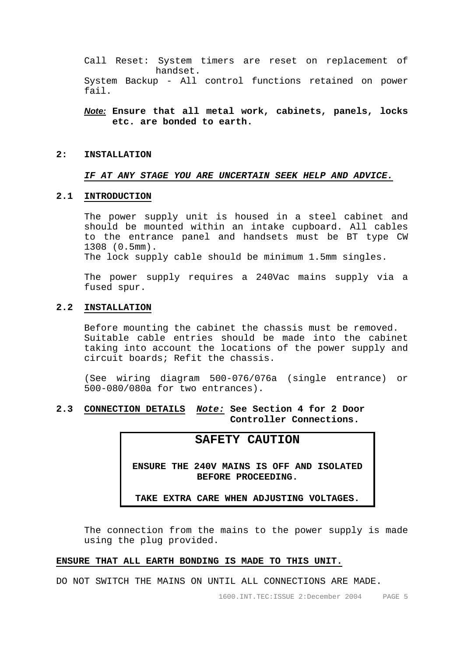Call Reset: System timers are reset on replacement of handset. System Backup - All control functions retained on power fail.

# *Note:* **Ensure that all metal work, cabinets, panels, locks etc. are bonded to earth.**

#### **2: INSTALLATION**

# *IF AT ANY STAGE YOU ARE UNCERTAIN SEEK HELP AND ADVICE.*

#### **2.1 INTRODUCTION**

The power supply unit is housed in a steel cabinet and should be mounted within an intake cupboard. All cables to the entrance panel and handsets must be BT type CW 1308 (0.5mm).

The lock supply cable should be minimum 1.5mm singles.

 The power supply requires a 240Vac mains supply via a fused spur.

#### **2.2 INSTALLATION**

Before mounting the cabinet the chassis must be removed. Suitable cable entries should be made into the cabinet taking into account the locations of the power supply and circuit boards; Refit the chassis.

(See wiring diagram 500-076/076a (single entrance) or 500-080/080a for two entrances).

# **2.3 CONNECTION DETAILS** *Note:* **See Section 4 for 2 Door Controller Connections.**

# **SAFETY CAUTION**

**ENSURE THE 240V MAINS IS OFF AND ISOLATED BEFORE PROCEEDING.** 

**TAKE EXTRA CARE WHEN ADJUSTING VOLTAGES.**

 The connection from the mains to the power supply is made using the plug provided.

# **ENSURE THAT ALL EARTH BONDING IS MADE TO THIS UNIT.**

DO NOT SWITCH THE MAINS ON UNTIL ALL CONNECTIONS ARE MADE.

1600.INT.TEC:ISSUE 2:December 2004 PAGE 5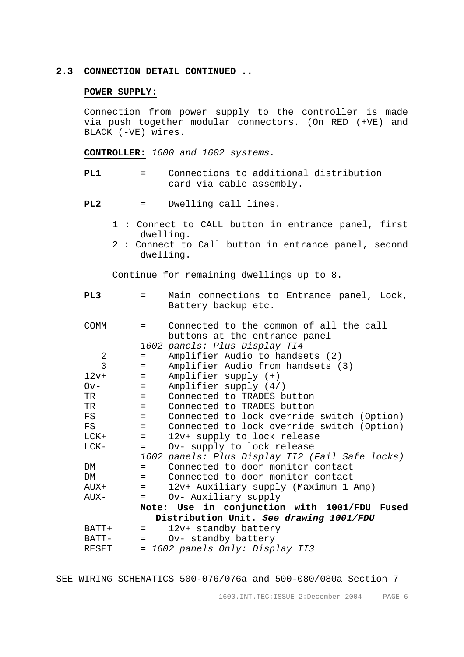#### **2.3 CONNECTION DETAIL CONTINUED ..**

#### **POWER SUPPLY:**

 Connection from power supply to the controller is made via push together modular connectors. (On RED (+VE) and BLACK (-VE) wires.

**CONTROLLER:** *1600 and 1602 systems.*

**PL1** = Connections to additional distribution card via cable assembly.

**PL2** = Dwelling call lines.

- 1 : Connect to CALL button in entrance panel, first dwelling.
- 2 : Connect to Call button in entrance panel, second dwelling.

Continue for remaining dwellings up to 8.

| PL3            | $=$     | Main connections to Entrance panel, Lock,<br>Battery backup etc. |
|----------------|---------|------------------------------------------------------------------|
|                |         |                                                                  |
| <b>COMM</b>    | $=$ $-$ | Connected to the common of all the call                          |
|                |         | buttons at the entrance panel                                    |
|                |         | 1602 panels: Plus Display TI4                                    |
| 2              | $=$     | Amplifier Audio to handsets (2)                                  |
| $\overline{3}$ | $=$     | Amplifier Audio from handsets (3)                                |
| $12v+$         | $=$     | Amplifier supply (+)                                             |
| $Ov -$         | $=$ $-$ | Amplifier supply (4/)                                            |
| TR             | $=$     | Connected to TRADES button                                       |
| TR             | $=$ $-$ | Connected to TRADES button                                       |
| FS             | $=$     | Connected to lock override switch (Option)                       |
| FS             | $=$     | Connected to lock override switch (Option)                       |
| LCK+           | $=$     | 12v+ supply to lock release                                      |
| LCK-           | $=$     | Ov- supply to lock release                                       |
|                |         | 1602 panels: Plus Display TI2 (Fail Safe locks)                  |
| DM             | $=$     | Connected to door monitor contact                                |
| DM             | $=$ $-$ | Connected to door monitor contact                                |
| AUX+           | $=$ $-$ | 12v+ Auxiliary supply (Maximum 1 Amp)                            |
| AUX-           | $=$     | Ov- Auxiliary supply                                             |
|                |         | Note: Use in conjunction with 1001/FDU<br>Fused                  |
|                |         | Distribution Unit. See drawing 1001/FDU                          |
| BATT+          | $=$ $-$ | 12v+ standby battery                                             |
| BATT-          | $=$ $-$ | Ov- standby battery                                              |
| RESET          |         | = 1602 panels Only: Display TI3                                  |

SEE WIRING SCHEMATICS 500-076/076a and 500-080/080a Section 7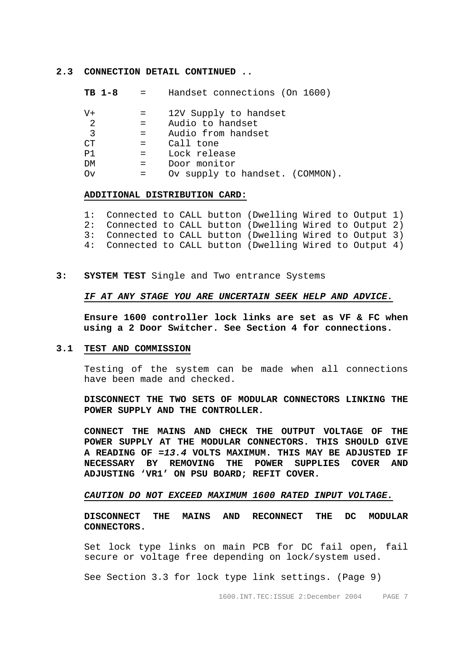**2.3 CONNECTION DETAIL CONTINUED ..** 

| TB 1-8    |                    | Handset connections (On 1600)   |
|-----------|--------------------|---------------------------------|
| $V +$     |                    | 12V Supply to handset           |
| 2         | $=$ $-$            | Audio to handset                |
| 3         | $=$ $-$            | Audio from handset              |
| <b>CT</b> | $=$ $\blacksquare$ | Call tone                       |
| P1        | $=$ $\blacksquare$ | Lock release                    |
| DM        | $=$ $-$            | Door monitor                    |
| Οv        |                    | Ov supply to handset. (COMMON). |

#### **ADDITIONAL DISTRIBUTION CARD:**

| 1: Connected to CALL button (Dwelling Wired to Output 1) |  |  |  |  |
|----------------------------------------------------------|--|--|--|--|
| 2: Connected to CALL button (Dwelling Wired to Output 2) |  |  |  |  |
| 3: Connected to CALL button (Dwelling Wired to Output 3) |  |  |  |  |
| 4: Connected to CALL button (Dwelling Wired to Output 4) |  |  |  |  |

**3: SYSTEM TEST** Single and Two entrance Systems

#### *IF AT ANY STAGE YOU ARE UNCERTAIN SEEK HELP AND ADVICE.*

**Ensure 1600 controller lock links are set as VF & FC when using a 2 Door Switcher. See Section 4 for connections.** 

#### **3.1 TEST AND COMMISSION**

 Testing of the system can be made when all connections have been made and checked.

**DISCONNECT THE TWO SETS OF MODULAR CONNECTORS LINKING THE POWER SUPPLY AND THE CONTROLLER.** 

 **CONNECT THE MAINS AND CHECK THE OUTPUT VOLTAGE OF THE POWER SUPPLY AT THE MODULAR CONNECTORS. THIS SHOULD GIVE A READING OF** *=13.4* **VOLTS MAXIMUM. THIS MAY BE ADJUSTED IF NECESSARY BY REMOVING THE POWER SUPPLIES COVER AND ADJUSTING 'VR1' ON PSU BOARD; REFIT COVER.** 

#### *CAUTION DO NOT EXCEED MAXIMUM 1600 RATED INPUT VOLTAGE.*

**DISCONNECT THE MAINS AND RECONNECT THE DC MODULAR CONNECTORS.** 

 Set lock type links on main PCB for DC fail open, fail secure or voltage free depending on lock/system used.

See Section 3.3 for lock type link settings. (Page 9)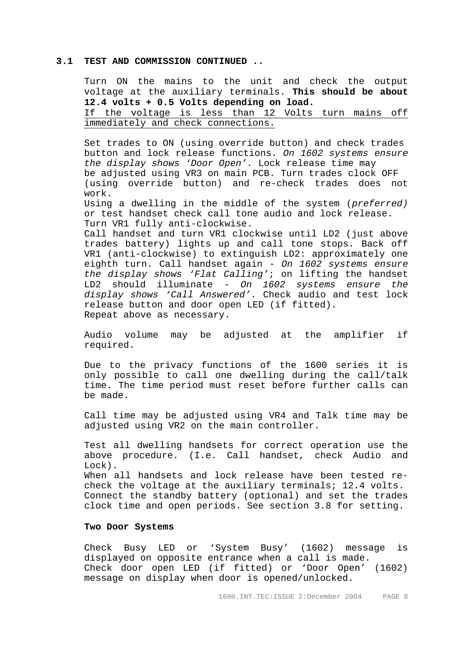#### **3.1 TEST AND COMMISSION CONTINUED ..**

Turn ON the mains to the unit and check the output voltage at the auxiliary terminals. **This should be about 12.4 volts + 0.5 Volts depending on load.** If the voltage is less than 12 Volts turn mains off immediately and check connections.

Set trades to ON (using override button) and check trades button and lock release functions. *On 1602 systems ensure the display shows 'Door Open'.* Lock release time may be adjusted using VR3 on main PCB. Turn trades clock OFF (using override button) and re-check trades does not work.

Using a dwelling in the middle of the system (*preferred)* or test handset check call tone audio and lock release. Turn VR1 fully anti-clockwise.

Call handset and turn VR1 clockwise until LD2 (just above trades battery) lights up and call tone stops. Back off VR1 (anti-clockwise) to extinguish LD2: approximately one eighth turn. Call handset again *- On 1602 systems ensure the display shows 'Flat Calling'*; on lifting the handset LD2 should illuminate *- On 1602 systems ensure the display shows 'Call Answered'*. Check audio and test lock release button and door open LED (if fitted). Repeat above as necessary.

 Audio volume may be adjusted at the amplifier if required.

 Due to the privacy functions of the 1600 series it is only possible to call one dwelling during the call/talk time. The time period must reset before further calls can be made.

 Call time may be adjusted using VR4 and Talk time may be adjusted using VR2 on the main controller.

Test all dwelling handsets for correct operation use the above procedure. (I.e. Call handset, check Audio and Lock). When all handsets and lock release have been tested recheck the voltage at the auxiliary terminals; 12.4 volts. Connect the standby battery (optional) and set the trades clock time and open periods. See section 3.8 for setting.

#### **Two Door Systems**

Check Busy LED or 'System Busy' (1602) message is displayed on opposite entrance when a call is made. Check door open LED (if fitted) or 'Door Open' (1602) message on display when door is opened/unlocked.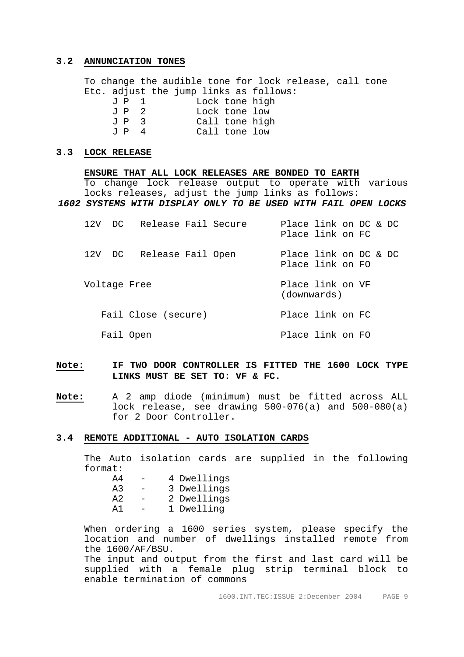#### **3.2 ANNUNCIATION TONES**

 To change the audible tone for lock release, call tone Etc. adjust the jump links as follows: J P 1 Lock tone high J P 2 Lock tone low

| J P 3 | Call tone high |               |  |
|-------|----------------|---------------|--|
| T P 4 |                | Call tone low |  |

# **3.3 LOCK RELEASE**

**ENSURE THAT ALL LOCK RELEASES ARE BONDED TO EARTH** To change lock release output to operate with various locks releases, adjust the jump links as follows: *1602 SYSTEMS WITH DISPLAY ONLY TO BE USED WITH FAIL OPEN LOCKS*  12V DC Release Fail Secure Place link on DC & DC Place link on FC

|              | 12V DC Release Fail Open | Place link on DC & DC<br>Place link on FO |
|--------------|--------------------------|-------------------------------------------|
| Voltage Free |                          | Place link on VF<br>(downwards)           |
|              | Fail Close (secure)      | Place link on FC                          |
| Fail Open    |                          | Place link on FO                          |

# **Note: IF TWO DOOR CONTROLLER IS FITTED THE 1600 LOCK TYPE LINKS MUST BE SET TO: VF & FC.**

**Note:** A 2 amp diode (minimum) must be fitted across ALL lock release, see drawing 500-076(a) and 500-080(a) for 2 Door Controller.

#### **3.4 REMOTE ADDITIONAL - AUTO ISOLATION CARDS**

The Auto isolation cards are supplied in the following format:

|  | 4 Dwellings |  |
|--|-------------|--|
|  |             |  |

- A3 3 Dwellings
- A2 2 Dwellings
	- A1 1 Dwelling

When ordering a 1600 series system, please specify the location and number of dwellings installed remote from the 1600/AF/BSU.

The input and output from the first and last card will be supplied with a female plug strip terminal block to enable termination of commons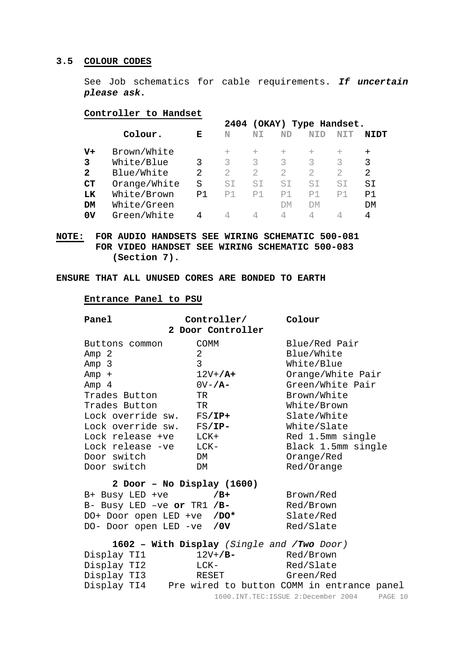# **3.5 COLOUR CODES**

See Job schematics for cable requirements. *If uncertain please ask.* 

# **Controller to Handset**

|       |              |    | 2404   | (OKAY)         |                | Type Handset. |                |        |
|-------|--------------|----|--------|----------------|----------------|---------------|----------------|--------|
|       | Colour.      | Е  | N      | N <sub>T</sub> | <b>ND</b>      | NID           |                | ייסדא  |
| $V +$ | Brown/White  |    | $^{+}$ | $+$            |                | $^{+}$        | $^{+}$         | $^{+}$ |
| 3     | White/Blue   | 3  | 3      | ζ              | ζ              | ζ             | ζ              | 3      |
| 2     | Blue/White   | 2  |        |                | $\mathcal{D}$  |               |                | 2      |
| CT    | Orange/White | S  | ST.    | ST             | ST             | ST            | S1             | SI     |
| LK    | White/Brown  | P1 | P1     | P <sub>1</sub> | P <sub>1</sub> | P1            | P <sub>1</sub> | P1     |
| DM    | White/Green  |    |        |                | <b>DM</b>      | DМ            |                | DM     |
| 0V    | Green/White  | 4  |        |                | 4              | 4             |                | 4      |

**NOTE: FOR AUDIO HANDSETS SEE WIRING SCHEMATIC 500-081 FOR VIDEO HANDSET SEE WIRING SCHEMATIC 500-083 (Section 7).** 

# **ENSURE THAT ALL UNUSED CORES ARE BONDED TO EARTH**

#### **Entrance Panel to PSU**

| Panel                      | Controller/<br>2 Door Controller           | Colour                                     |
|----------------------------|--------------------------------------------|--------------------------------------------|
| Buttons common             | <b>COMM</b>                                | Blue/Red Pair                              |
| Amp 2                      | $\overline{2}$                             | Blue/White                                 |
| Amp 3                      | 3                                          | White/Blue                                 |
| $Amp +$                    | $12V+ / A+$                                | Orange/White Pair                          |
| Amp 4                      | $0V - /A -$                                | Green/White Pair                           |
| Trades Button              | TR                                         | Brown/White                                |
| Trades Button              | TR                                         | White/Brown                                |
| Lock override sw. FS/IP+   |                                            | Slate/White                                |
| Lock override sw.          | $\texttt{FS}/\texttt{IP}-$                 | White/Slate                                |
| Lock release +ve           | LCK+                                       | Red 1.5mm single                           |
| Lock release -ve           | LCK-                                       | Black 1.5mm single                         |
| Door switch                | DM                                         | Orange/Red                                 |
| Door switch                | DM                                         | Red/Orange                                 |
|                            | 2 Door - No Display (1600)                 |                                            |
| B+ Busy LED +ve            | /B+                                        | Brown/Red                                  |
| B- Busy LED -ve or TR1 /B- |                                            | Red/Brown                                  |
| DO+ Door open LED +ve /DO* |                                            | Slate/Red                                  |
| DO- Door open LED -ve /0V  |                                            | Red/Slate                                  |
|                            | 1602 - With Display (Single and /Two Door) |                                            |
| Display TI1                | $12V+$ /B-                                 | Red/Brown                                  |
| Display TI2                | LCK-                                       | Red/Slate                                  |
| Display TI3                | RESET                                      | Green/Red                                  |
| Display TI4                |                                            | Pre wired to button COMM in entrance panel |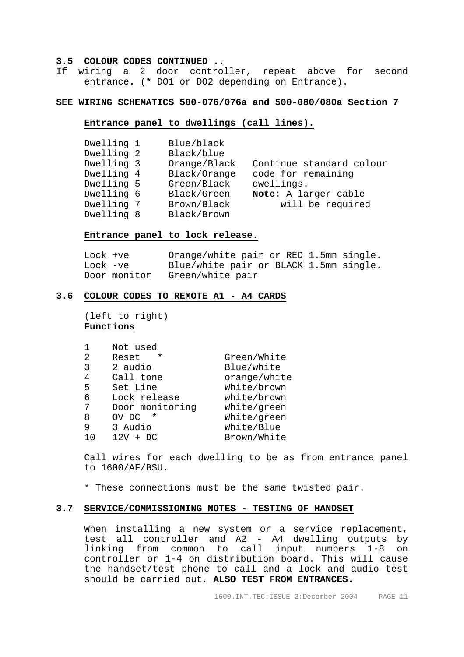#### **3.5 COLOUR CODES CONTINUED ..**

If wiring a 2 door controller, repeat above for second entrance**.** (**\*** DO1 or DO2 depending on Entrance).

#### **SEE WIRING SCHEMATICS 500-076/076a and 500-080/080a Section 7**

## **Entrance panel to dwellings (call lines).**

| Dwelling 1 | Blue/black   |                          |
|------------|--------------|--------------------------|
| Dwelling 2 | Black/blue   |                          |
| Dwelling 3 | Orange/Black | Continue standard colour |
| Dwelling 4 | Black/Orange | code for remaining       |
| Dwelling 5 | Green/Black  | dwellings.               |
| Dwelling 6 | Black/Green  | Note: A larger cable     |
| Dwelling 7 | Brown/Black  | will be required         |
| Dwelling 8 | Black/Brown  |                          |

#### **Entrance panel to lock release.**

 Lock +ve Orange/white pair or RED 1.5mm single. Lock -ve Blue/white pair or BLACK 1.5mm single. Door monitor Green/white pair

#### **3.6 COLOUR CODES TO REMOTE A1 - A4 CARDS**

 (left to right) **Functions**

|               | Not used          |              |
|---------------|-------------------|--------------|
| $\mathcal{L}$ | $\star$<br>Reset  | Green/White  |
| 3             | 2 audio           | Blue/white   |
| 4             | Call tone         | orange/white |
| 5             | Set Line          | White/brown  |
| 6             | Lock release      | white/brown  |
| 7             | Door monitoring   | White/green  |
| 8             | $^\star$<br>OV DC | White/green  |
| 9             | 3 Audio           | White/Blue   |
|               | 12V<br>DC.        | Brown/White  |

 Call wires for each dwelling to be as from entrance panel to 1600/AF/BSU.

\* These connections must be the same twisted pair.

## **3.7 SERVICE/COMMISSIONING NOTES - TESTING OF HANDSET**

 When installing a new system or a service replacement, test all controller and A2 - A4 dwelling outputs by linking from common to call input numbers 1-8 on controller or 1-4 on distribution board. This will cause the handset/test phone to call and a lock and audio test should be carried out. **ALSO TEST FROM ENTRANCES.**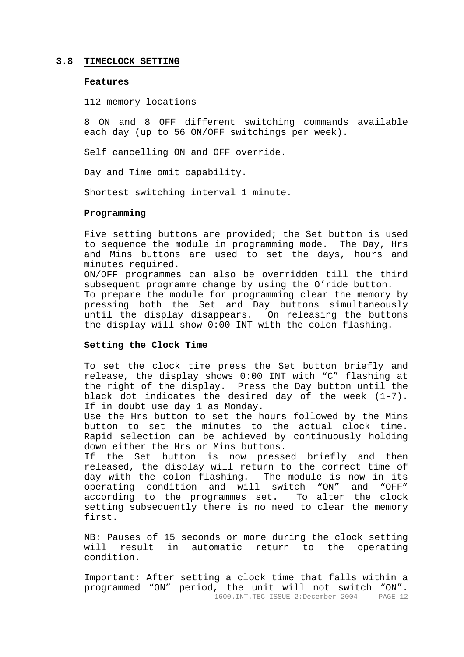#### **3.8 TIMECLOCK SETTING**

#### **Features**

112 memory locations

8 ON and 8 OFF different switching commands available each day (up to 56 ON/OFF switchings per week).

Self cancelling ON and OFF override.

Day and Time omit capability.

Shortest switching interval 1 minute.

#### **Programming**

Five setting buttons are provided; the Set button is used to sequence the module in programming mode. The Day, Hrs and Mins buttons are used to set the days, hours and minutes required. ON/OFF programmes can also be overridden till the third

subsequent programme change by using the O'ride button. To prepare the module for programming clear the memory by pressing both the Set and Day buttons simultaneously until the display disappears. On releasing the buttons the display will show 0:00 INT with the colon flashing.

# **Setting the Clock Time**

To set the clock time press the Set button briefly and release, the display shows 0:00 INT with "C" flashing at the right of the display. Press the Day button until the black dot indicates the desired day of the week (1-7). If in doubt use day 1 as Monday.

Use the Hrs button to set the hours followed by the Mins button to set the minutes to the actual clock time. Rapid selection can be achieved by continuously holding down either the Hrs or Mins buttons.

If the Set button is now pressed briefly and then released, the display will return to the correct time of day with the colon flashing. The module is now in its operating condition and will switch "ON" and "OFF" according to the programmes set. To alter the clock setting subsequently there is no need to clear the memory first.

NB: Pauses of 15 seconds or more during the clock setting will result in automatic return to the operating condition.

1600.INT.TEC:ISSUE 2:December 2004 PAGE 12 Important: After setting a clock time that falls within a programmed "ON" period, the unit will not switch "ON".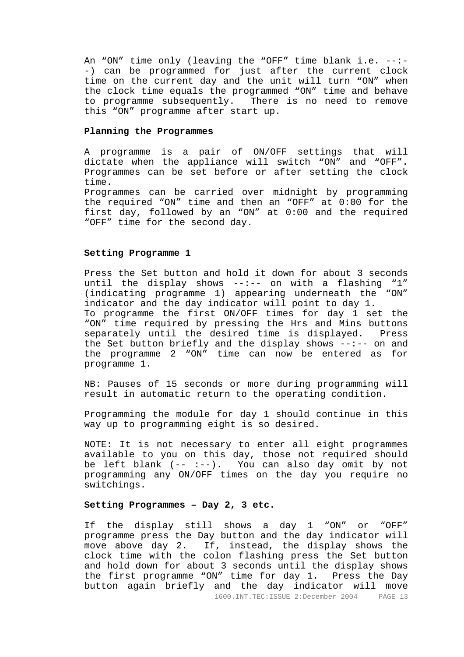An "ON" time only (leaving the "OFF" time blank i.e. --:- -) can be programmed for just after the current clock time on the current day and the unit will turn "ON" when the clock time equals the programmed "ON" time and behave<br>to programme subsequently. There is no need to remove There is no need to remove this "ON" programme after start up.

## **Planning the Programmes**

A programme is a pair of ON/OFF settings that will dictate when the appliance will switch "ON" and "OFF". Programmes can be set before or after setting the clock time.

Programmes can be carried over midnight by programming the required "ON" time and then an "OFF" at 0:00 for the first day, followed by an "ON" at 0:00 and the required "OFF" time for the second day.

#### **Setting Programme 1**

Press the Set button and hold it down for about 3 seconds until the display shows  $--:--$  on with a flashing "1" (indicating programme 1) appearing underneath the "ON" indicator and the day indicator will point to day 1. To programme the first ON/OFF times for day 1 set the "ON" time required by pressing the Hrs and Mins buttons separately until the desired time is displayed. Press the Set button briefly and the display shows --:-- on and the programme 2 "ON" time can now be entered as for programme 1.

NB: Pauses of 15 seconds or more during programming will result in automatic return to the operating condition.

Programming the module for day 1 should continue in this way up to programming eight is so desired.

NOTE: It is not necessary to enter all eight programmes available to you on this day, those not required should be left blank (-- :--). You can also day omit by not programming any ON/OFF times on the day you require no switchings.

#### **Setting Programmes – Day 2, 3 etc.**

If the display still shows a day 1 "ON" or "OFF" programme press the Day button and the day indicator will move above day 2. If, instead, the display shows the clock time with the colon flashing press the Set button and hold down for about 3 seconds until the display shows the first programme "ON" time for day 1. Press the Day button again briefly and the day indicator will move

1600.INT.TEC:ISSUE 2:December 2004 PAGE 13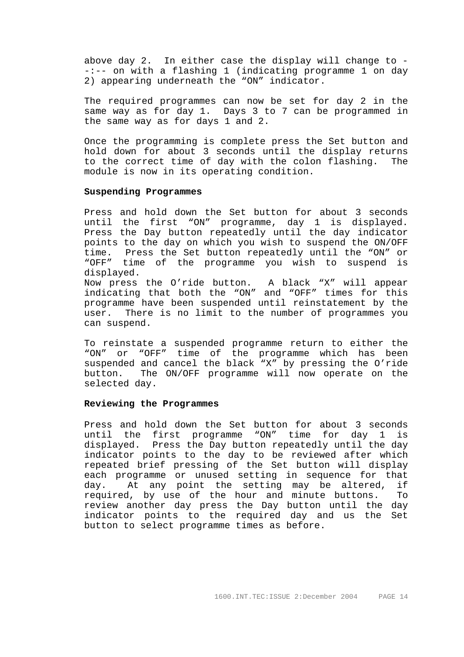above day 2. In either case the display will change to - -:-- on with a flashing 1 (indicating programme 1 on day 2) appearing underneath the "ON" indicator.

The required programmes can now be set for day 2 in the same way as for day 1. Days 3 to 7 can be programmed in the same way as for days 1 and 2.

Once the programming is complete press the Set button and hold down for about 3 seconds until the display returns to the correct time of day with the colon flashing. The module is now in its operating condition.

#### **Suspending Programmes**

Press and hold down the Set button for about 3 seconds until the first "ON" programme, day 1 is displayed. Press the Day button repeatedly until the day indicator points to the day on which you wish to suspend the ON/OFF time. Press the Set button repeatedly until the "ON" or "OFF" time of the programme you wish to suspend is displayed. Now press the O'ride button. A black "X" will appear

indicating that both the "ON" and "OFF" times for this programme have been suspended until reinstatement by the user. There is no limit to the number of programmes you can suspend.

To reinstate a suspended programme return to either the "ON" or "OFF" time of the programme which has been suspended and cancel the black "X" by pressing the O'ride button. The ON/OFF programme will now operate on the selected day.

#### **Reviewing the Programmes**

Press and hold down the Set button for about 3 seconds until the first programme "ON" time for day 1 is displayed. Press the Day button repeatedly until the day indicator points to the day to be reviewed after which repeated brief pressing of the Set button will display each programme or unused setting in sequence for that day. At any point the setting may be altered, if required, by use of the hour and minute buttons. To review another day press the Day button until the day indicator points to the required day and us the Set button to select programme times as before.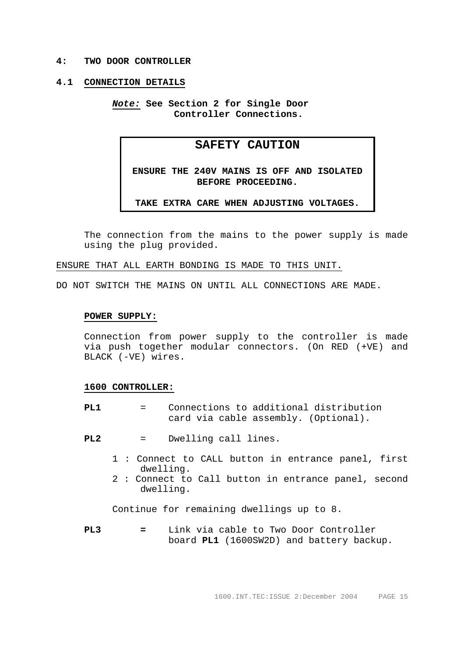#### **4: TWO DOOR CONTROLLER**

#### **4.1 CONNECTION DETAILS**

*Note:* **See Section 2 for Single Door Controller Connections.**

# **SAFETY CAUTION**

**ENSURE THE 240V MAINS IS OFF AND ISOLATED BEFORE PROCEEDING.** 

## **TAKE EXTRA CARE WHEN ADJUSTING VOLTAGES.**

 The connection from the mains to the power supply is made using the plug provided.

ENSURE THAT ALL EARTH BONDING IS MADE TO THIS UNIT.

DO NOT SWITCH THE MAINS ON UNTIL ALL CONNECTIONS ARE MADE.

#### **POWER SUPPLY:**

 Connection from power supply to the controller is made via push together modular connectors. (On RED (+VE) and BLACK (-VE) wires.

#### **1600 CONTROLLER:**

- **PL1** = Connections to additional distribution card via cable assembly. (Optional).
- **PL2** = Dwelling call lines.
	- 1 : Connect to CALL button in entrance panel, first dwelling.
	- 2 : Connect to Call button in entrance panel, second dwelling.

Continue for remaining dwellings up to 8.

**PL3 =** Link via cable to Two Door Controller board **PL1** (1600SW2D) and battery backup.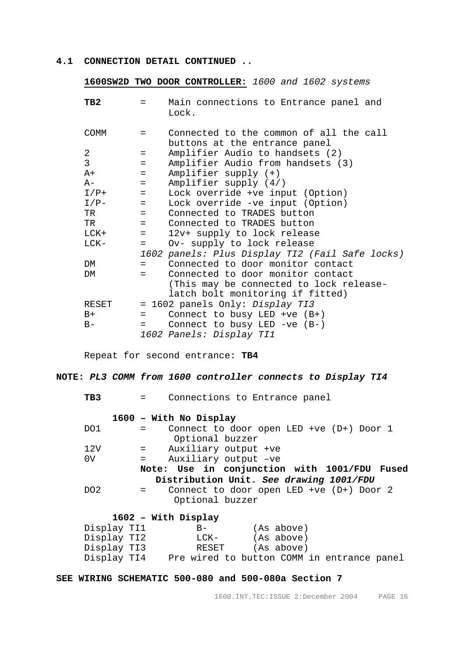# **4.1 CONNECTION DETAIL CONTINUED ..**

 **1600SW2D TWO DOOR CONTROLLER:** *1600 and 1602 systems* 

| TB2            |                           | Main connections to Entrance panel and<br>Lock. |
|----------------|---------------------------|-------------------------------------------------|
| <b>COMM</b>    | $=$                       | Connected to the common of all the call         |
|                |                           | buttons at the entrance panel                   |
| 2              | $=$                       | Amplifier Audio to handsets (2)                 |
| $\overline{3}$ | $=$                       | Amplifier Audio from handsets (3)               |
| $A+$           | $=$                       | $Amplifier supply (+)$                          |
| $A-$           | $=$                       | Amplifier supply $(4/)$                         |
| $I/P+$         | $\sim$ $\sim$ $\sim$      | Lock override +ve input (Option)                |
| $I/P-$         | $\mathbf{r} = \mathbf{r}$ | Lock override -ve input (Option)                |
| TR             | $=$ $-$                   | Connected to TRADES button                      |
| TR             | $=$ $-$                   | Connected to TRADES button                      |
| LCK+           | $=$                       | 12v+ supply to lock release                     |
| $LCK-$         | $=$                       | Ov- supply to lock release                      |
|                |                           | 1602 panels: Plus Display TI2 (Fail Safe locks) |
| DM             | $=$                       | Connected to door monitor contact               |
| DM             | $=$                       | Connected to door monitor contact               |
|                |                           | (This may be connected to lock release-         |
|                |                           | latch bolt monitoring if fitted)                |
| RESET          |                           | = 1602 panels Only: Display TI3                 |
| $B+$           | $=$                       | Connect to busy LED +ve $(B+)$                  |
| $B -$          | $=$                       | Connect to busy LED -ve $(B-)$                  |
|                |                           | 1602 Panels: Display TI1                        |
|                |                           |                                                 |

Repeat for second entrance: **TB4** 

# **NOTE:** *PL3 COMM from 1600 controller connects to Display TI4*

**TB3** = Connections to Entrance panel

|                                         | 1600 - With No Display                              |  |  |  |
|-----------------------------------------|-----------------------------------------------------|--|--|--|
| DO1                                     | Connect to door open LED +ve $(D+)$ Door 1          |  |  |  |
|                                         | Optional buzzer                                     |  |  |  |
| 12V                                     | = Auxiliary output +ve                              |  |  |  |
| 0 <sub>V</sub>                          | Auxiliary output -ve<br>$=$ $-$                     |  |  |  |
|                                         | Note: Use in conjunction with 1001/FDU Fused        |  |  |  |
| Distribution Unit. See drawing 1001/FDU |                                                     |  |  |  |
| DO2                                     | Connect to door open LED +ve (D+) Door 2<br>$=$ $-$ |  |  |  |
|                                         | Optional buzzer                                     |  |  |  |
|                                         |                                                     |  |  |  |

# **1602 – With Display**

| Display TI1 | $B -$ | (As above)                                 |  |
|-------------|-------|--------------------------------------------|--|
| Display TI2 | LCK-  | (As above)                                 |  |
| Display TI3 | RESET | (As above)                                 |  |
| Display TI4 |       | Pre wired to button COMM in entrance panel |  |

**SEE WIRING SCHEMATIC 500-080 and 500-080a Section 7**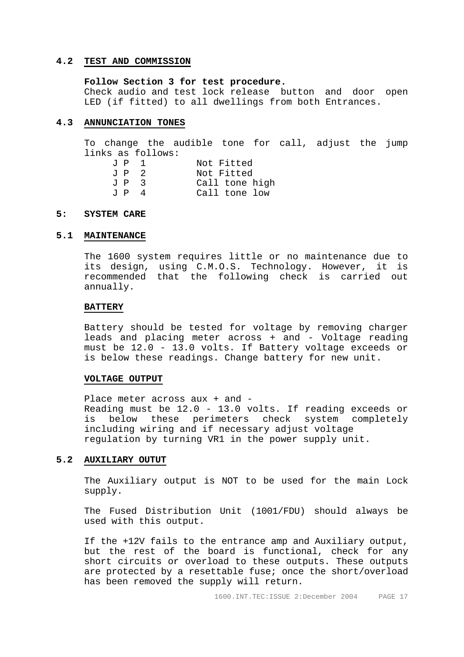# **4.2 TEST AND COMMISSION**

#### **Follow Section 3 for test procedure.**

 Check audio and test lock release button and door open LED (if fitted) to all dwellings from both Entrances.

#### **4.3 ANNUNCIATION TONES**

 To change the audible tone for call, adjust the jump links as follows:

| JP 1 |   | Not Fitted     |
|------|---|----------------|
| JP 2 |   | Not Fitted     |
| JP 3 |   | Call tone high |
| J P  | 4 | Call tone low  |

#### **5: SYSTEM CARE**

#### **5.1 MAINTENANCE**

 The 1600 system requires little or no maintenance due to its design, using C.M.O.S. Technology. However, it is recommended that the following check is carried out annually.

#### **BATTERY**

 Battery should be tested for voltage by removing charger leads and placing meter across + and - Voltage reading must be 12.0 - 13.0 volts. If Battery voltage exceeds or is below these readings. Change battery for new unit.

#### **VOLTAGE OUTPUT**

Place meter across aux + and - Reading must be 12.0 - 13.0 volts. If reading exceeds or is below these perimeters check system completely including wiring and if necessary adjust voltage regulation by turning VR1 in the power supply unit.

#### **5.2 AUXILIARY OUTUT**

The Auxiliary output is NOT to be used for the main Lock supply.

 The Fused Distribution Unit (1001/FDU) should always be used with this output.

If the +12V fails to the entrance amp and Auxiliary output, but the rest of the board is functional, check for any short circuits or overload to these outputs. These outputs are protected by a resettable fuse; once the short/overload has been removed the supply will return.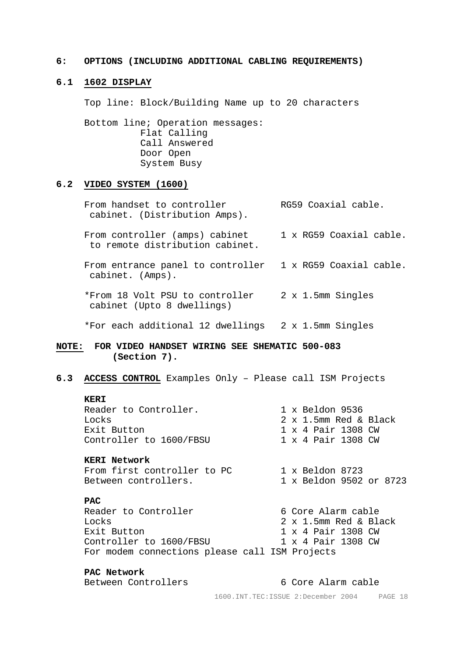#### **6: OPTIONS (INCLUDING ADDITIONAL CABLING REQUIREMENTS)**

# **6.1 1602 DISPLAY**

Top line: Block/Building Name up to 20 characters

Bottom line; Operation messages: Flat Calling Call Answered Door Open System Busy

# **6.2 VIDEO SYSTEM (1600)**

From handset to controller RG59 Coaxial cable. cabinet. (Distribution Amps). From controller (amps) cabinet 1 x RG59 Coaxial cable. to remote distribution cabinet. From entrance panel to controller 1 x RG59 Coaxial cable. cabinet. (Amps). \*From 18 Volt PSU to controller 2 x 1.5mm Singles cabinet (Upto 8 dwellings)

\*For each additional 12 dwellings 2 x 1.5mm Singles

# **NOTE: FOR VIDEO HANDSET WIRING SEE SHEMATIC 500-083 (Section 7).**

#### **6.3 ACCESS CONTROL** Examples Only – Please call ISM Projects

#### **KERI**

Reader to Controller. 1 x Beldon 9536 Locks 2 x 1.5mm Red & Black Exit Button 1 x 4 Pair 1308 CW Controller to 1600/FBSU 1 x 4 Pair 1308 CW

# **KERI Network**

From first controller to PC 1 x Beldon 8723 Between controllers. 1 x Beldon 9502 or 8723

## **PAC**

Reader to Controller 6 Core Alarm cable Locks 2 x 1.5mm Red & Black Exit Button 1 x 4 Pair 1308 CW Controller to 1600/FBSU 1 x 4 Pair 1308 CW For modem connections please call ISM Projects

**PAC Network** 

Between Controllers 6 Core Alarm cable

1600.INT.TEC:ISSUE 2:December 2004 PAGE 18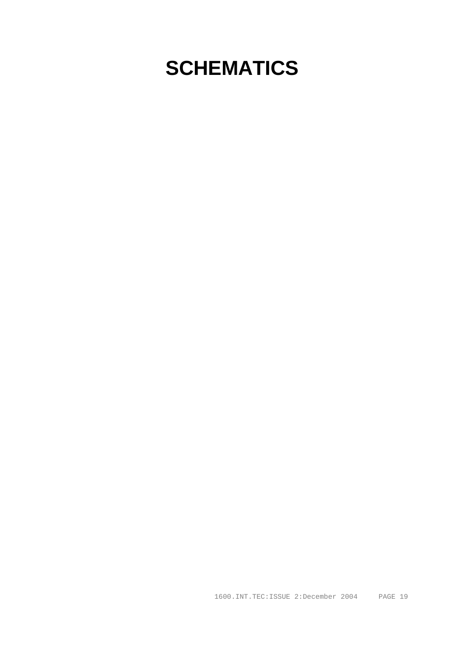# **SCHEMATICS**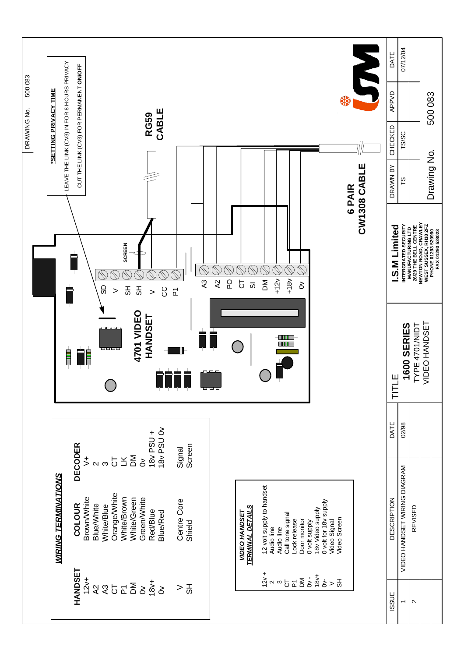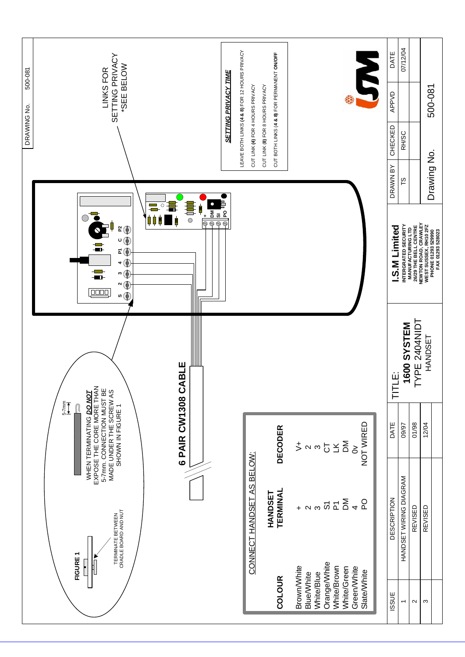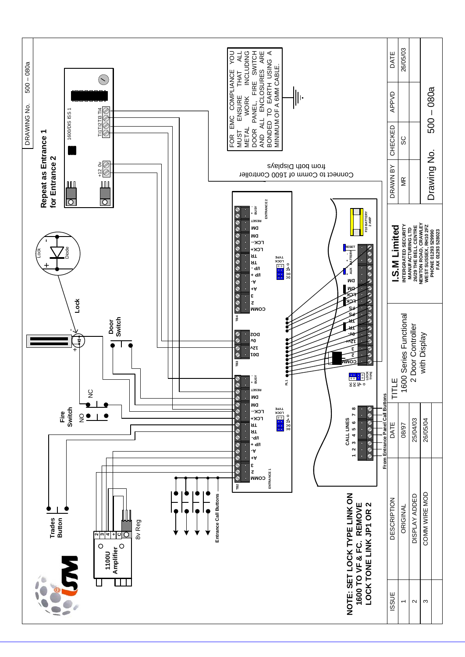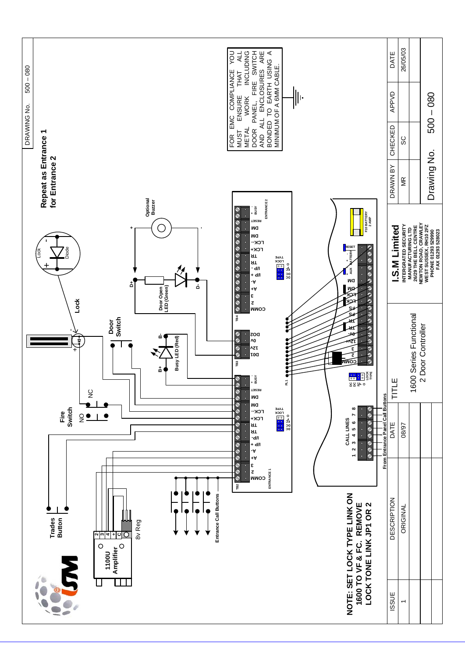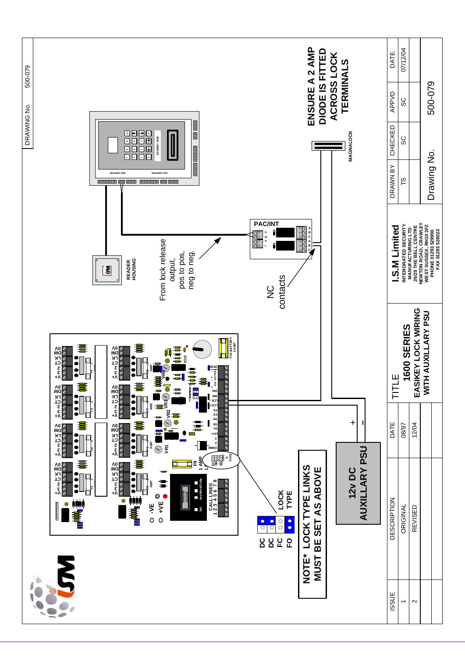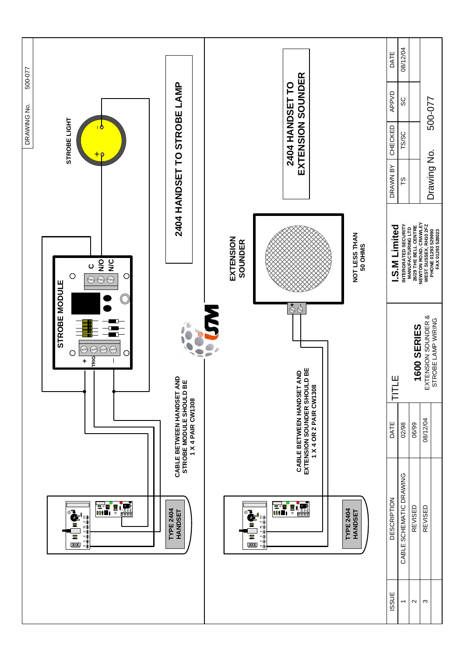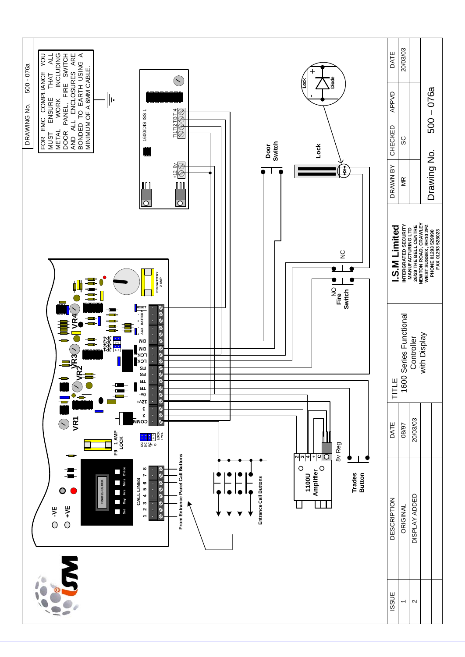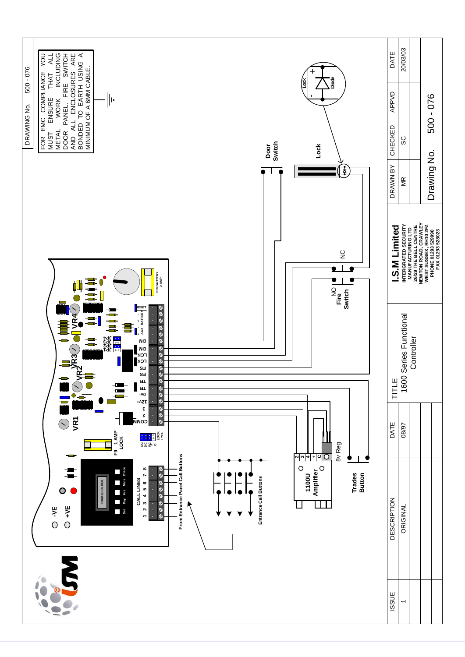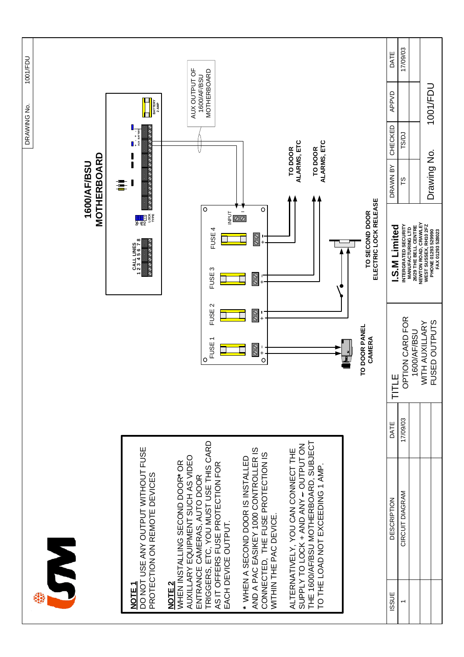